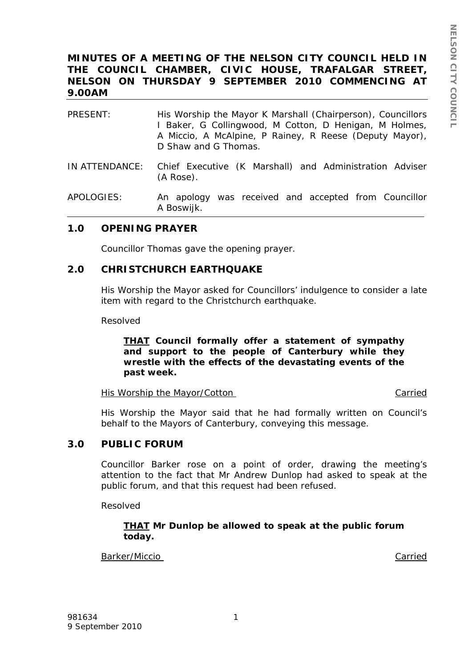# **MINUTES OF A MEETING OF THE NELSON CITY COUNCIL HELD IN THE COUNCIL CHAMBER, CIVIC HOUSE, TRAFALGAR STREET, NELSON ON THURSDAY 9 SEPTEMBER 2010 COMMENCING AT 9.00AM**

| PRESENT: | His Worship the Mayor K Marshall (Chairperson), Councillors<br>I Baker, G Collingwood, M Cotton, D Henigan, M Holmes,<br>A Miccio, A McAlpine, P Rainey, R Reese (Deputy Mayor),<br>D Shaw and G Thomas. |
|----------|----------------------------------------------------------------------------------------------------------------------------------------------------------------------------------------------------------|
|          | IN ATTENDANCE: Chief Executive (K Marshall) and Administration Adviser<br>(A Rose).                                                                                                                      |

APOLOGIES: An apology was received and accepted from Councillor A Boswijk.

## **1.0 OPENING PRAYER**

Councillor Thomas gave the opening prayer.

## **2.0 CHRISTCHURCH EARTHQUAKE**

His Worship the Mayor asked for Councillors' indulgence to consider a late item with regard to the Christchurch earthquake.

Resolved

### *THAT Council formally offer a statement of sympathy and support to the people of Canterbury while they wrestle with the effects of the devastating events of the past week.*

His Worship the Mayor/Cotton Carried

His Worship the Mayor said that he had formally written on Council's behalf to the Mayors of Canterbury, conveying this message.

### **3.0 PUBLIC FORUM**

Councillor Barker rose on a point of order, drawing the meeting's attention to the fact that Mr Andrew Dunlop had asked to speak at the public forum, and that this request had been refused.

Resolved

### *THAT Mr Dunlop be allowed to speak at the public forum today.*

Barker/Miccio **Carried**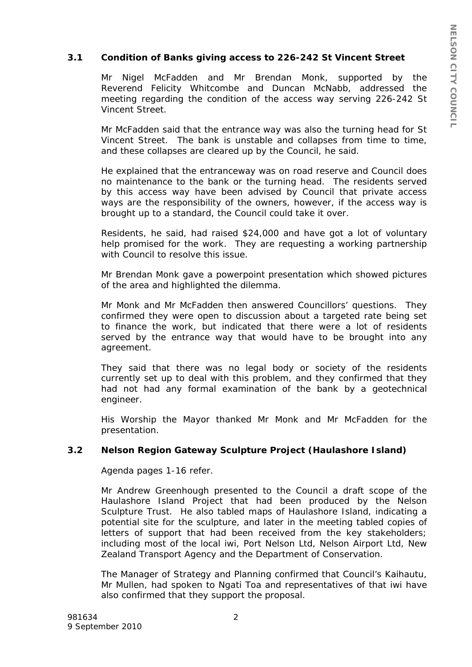## **3.1 Condition of Banks giving access to 226-242 St Vincent Street**

Mr Nigel McFadden and Mr Brendan Monk, supported by the Reverend Felicity Whitcombe and Duncan McNabb, addressed the meeting regarding the condition of the access way serving 226-242 St Vincent Street.

Mr McFadden said that the entrance way was also the turning head for St Vincent Street. The bank is unstable and collapses from time to time, and these collapses are cleared up by the Council, he said.

He explained that the entranceway was on road reserve and Council does no maintenance to the bank or the turning head. The residents served by this access way have been advised by Council that private access ways are the responsibility of the owners, however, if the access way is brought up to a standard, the Council could take it over.

Residents, he said, had raised \$24,000 and have got a lot of voluntary help promised for the work. They are requesting a working partnership with Council to resolve this issue.

Mr Brendan Monk gave a powerpoint presentation which showed pictures of the area and highlighted the dilemma.

Mr Monk and Mr McFadden then answered Councillors' questions. They confirmed they were open to discussion about a targeted rate being set to finance the work, but indicated that there were a lot of residents served by the entrance way that would have to be brought into any agreement.

They said that there was no legal body or society of the residents currently set up to deal with this problem, and they confirmed that they had not had any formal examination of the bank by a geotechnical engineer.

His Worship the Mayor thanked Mr Monk and Mr McFadden for the presentation.

## **3.2 Nelson Region Gateway Sculpture Project (Haulashore Island)**

Agenda pages 1-16 refer.

Mr Andrew Greenhough presented to the Council a draft scope of the Haulashore Island Project that had been produced by the Nelson Sculpture Trust. He also tabled maps of Haulashore Island, indicating a potential site for the sculpture, and later in the meeting tabled copies of letters of support that had been received from the key stakeholders; including most of the local iwi, Port Nelson Ltd, Nelson Airport Ltd, New Zealand Transport Agency and the Department of Conservation.

The Manager of Strategy and Planning confirmed that Council's Kaihautu, Mr Mullen, had spoken to Ngati Toa and representatives of that iwi have also confirmed that they support the proposal.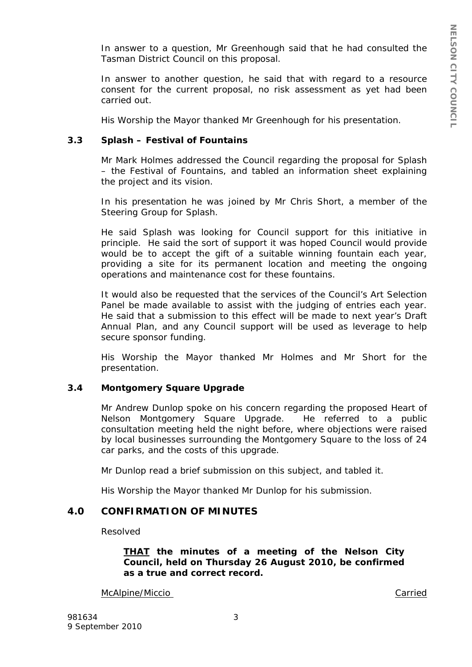In answer to a question, Mr Greenhough said that he had consulted the Tasman District Council on this proposal.

In answer to another question, he said that with regard to a resource consent for the current proposal, no risk assessment as yet had been carried out.

His Worship the Mayor thanked Mr Greenhough for his presentation.

## **3.3 Splash – Festival of Fountains**

Mr Mark Holmes addressed the Council regarding the proposal for Splash – the Festival of Fountains, and tabled an information sheet explaining the project and its vision.

In his presentation he was joined by Mr Chris Short, a member of the Steering Group for Splash.

He said Splash was looking for Council support for this initiative in principle. He said the sort of support it was hoped Council would provide would be to accept the gift of a suitable winning fountain each year, providing a site for its permanent location and meeting the ongoing operations and maintenance cost for these fountains.

It would also be requested that the services of the Council's Art Selection Panel be made available to assist with the judging of entries each year. He said that a submission to this effect will be made to next year's Draft Annual Plan, and any Council support will be used as leverage to help secure sponsor funding.

His Worship the Mayor thanked Mr Holmes and Mr Short for the presentation.

## **3.4 Montgomery Square Upgrade**

Mr Andrew Dunlop spoke on his concern regarding the proposed Heart of Nelson Montgomery Square Upgrade. He referred to a public consultation meeting held the night before, where objections were raised by local businesses surrounding the Montgomery Square to the loss of 24 car parks, and the costs of this upgrade.

Mr Dunlop read a brief submission on this subject, and tabled it.

His Worship the Mayor thanked Mr Dunlop for his submission.

## **4.0 CONFIRMATION OF MINUTES**

Resolved

*THAT the minutes of a meeting of the Nelson City Council, held on Thursday 26 August 2010, be confirmed as a true and correct record.* 

McAlpine/Miccio Carried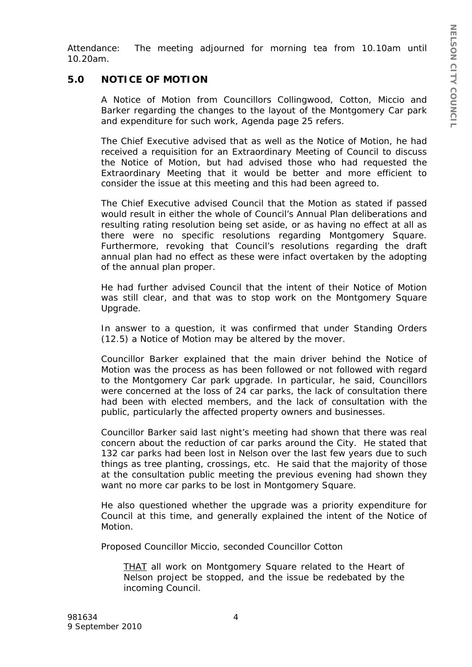Attendance: The meeting adjourned for morning tea from 10.10am until 10.20am.

# **5.0 NOTICE OF MOTION**

A Notice of Motion from Councillors Collingwood, Cotton, Miccio and Barker regarding the changes to the layout of the Montgomery Car park and expenditure for such work, Agenda page 25 refers.

The Chief Executive advised that as well as the Notice of Motion, he had received a requisition for an Extraordinary Meeting of Council to discuss the Notice of Motion, but had advised those who had requested the Extraordinary Meeting that it would be better and more efficient to consider the issue at this meeting and this had been agreed to.

The Chief Executive advised Council that the Motion as stated if passed would result in either the whole of Council's Annual Plan deliberations and resulting rating resolution being set aside, or as having no effect at all as there were no specific resolutions regarding Montgomery Square. Furthermore, revoking that Council's resolutions regarding the draft annual plan had no effect as these were infact overtaken by the adopting of the annual plan proper.

He had further advised Council that the intent of their Notice of Motion was still clear, and that was to stop work on the Montgomery Square Upgrade.

In answer to a question, it was confirmed that under Standing Orders (12.5) a Notice of Motion may be altered by the mover.

Councillor Barker explained that the main driver behind the Notice of Motion was the process as has been followed or not followed with regard to the Montgomery Car park upgrade. In particular, he said, Councillors were concerned at the loss of 24 car parks, the lack of consultation there had been with elected members, and the lack of consultation with the public, particularly the affected property owners and businesses.

Councillor Barker said last night's meeting had shown that there was real concern about the reduction of car parks around the City. He stated that 132 car parks had been lost in Nelson over the last few years due to such things as tree planting, crossings, etc. He said that the majority of those at the consultation public meeting the previous evening had shown they want no more car parks to be lost in Montgomery Square.

He also questioned whether the upgrade was a priority expenditure for Council at this time, and generally explained the intent of the Notice of Motion.

Proposed Councillor Miccio, seconded Councillor Cotton

*THAT all work on Montgomery Square related to the Heart of Nelson project be stopped, and the issue be redebated by the incoming Council.*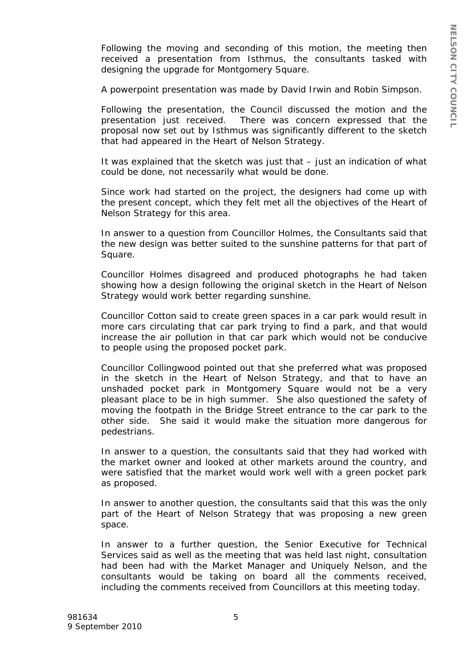Following the moving and seconding of this motion, the meeting then received a presentation from Isthmus, the consultants tasked with designing the upgrade for Montgomery Square.

A powerpoint presentation was made by David Irwin and Robin Simpson.

Following the presentation, the Council discussed the motion and the presentation just received. There was concern expressed that the proposal now set out by Isthmus was significantly different to the sketch that had appeared in the Heart of Nelson Strategy.

It was explained that the sketch was just that – just an indication of what could be done, not necessarily what would be done.

Since work had started on the project, the designers had come up with the present concept, which they felt met all the objectives of the Heart of Nelson Strategy for this area.

In answer to a question from Councillor Holmes, the Consultants said that the new design was better suited to the sunshine patterns for that part of Square.

Councillor Holmes disagreed and produced photographs he had taken showing how a design following the original sketch in the Heart of Nelson Strategy would work better regarding sunshine.

Councillor Cotton said to create green spaces in a car park would result in more cars circulating that car park trying to find a park, and that would increase the air pollution in that car park which would not be conducive to people using the proposed pocket park.

Councillor Collingwood pointed out that she preferred what was proposed in the sketch in the Heart of Nelson Strategy, and that to have an unshaded pocket park in Montgomery Square would not be a very pleasant place to be in high summer. She also questioned the safety of moving the footpath in the Bridge Street entrance to the car park to the other side. She said it would make the situation more dangerous for pedestrians.

In answer to a question, the consultants said that they had worked with the market owner and looked at other markets around the country, and were satisfied that the market would work well with a green pocket park as proposed.

In answer to another question, the consultants said that this was the only part of the Heart of Nelson Strategy that was proposing a new green space.

In answer to a further question, the Senior Executive for Technical Services said as well as the meeting that was held last night, consultation had been had with the Market Manager and Uniquely Nelson, and the consultants would be taking on board all the comments received, including the comments received from Councillors at this meeting today.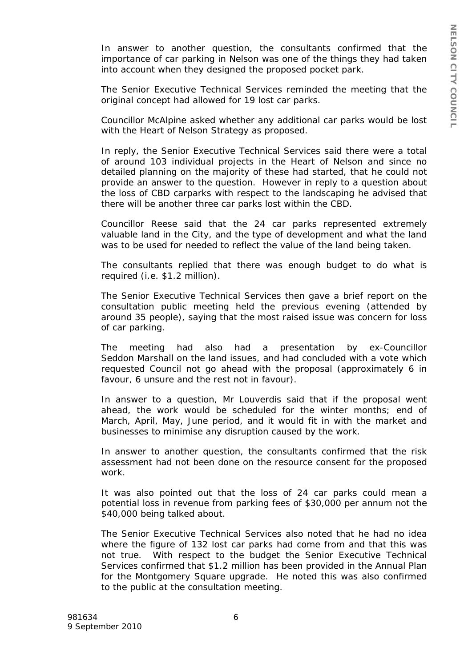In answer to another question, the consultants confirmed that the importance of car parking in Nelson was one of the things they had taken into account when they designed the proposed pocket park.

The Senior Executive Technical Services reminded the meeting that the original concept had allowed for 19 lost car parks.

Councillor McAlpine asked whether any additional car parks would be lost with the Heart of Nelson Strategy as proposed.

In reply, the Senior Executive Technical Services said there were a total of around 103 individual projects in the Heart of Nelson and since no detailed planning on the majority of these had started, that he could not provide an answer to the question. However in reply to a question about the loss of CBD carparks with respect to the landscaping he advised that there will be another three car parks lost within the CBD.

Councillor Reese said that the 24 car parks represented extremely valuable land in the City, and the type of development and what the land was to be used for needed to reflect the value of the land being taken.

The consultants replied that there was enough budget to do what is required (i.e. \$1.2 million).

The Senior Executive Technical Services then gave a brief report on the consultation public meeting held the previous evening (attended by around 35 people), saying that the most raised issue was concern for loss of car parking.

The meeting had also had a presentation by ex-Councillor Seddon Marshall on the land issues, and had concluded with a vote which requested Council not go ahead with the proposal (approximately 6 in favour, 6 unsure and the rest not in favour).

In answer to a question, Mr Louverdis said that if the proposal went ahead, the work would be scheduled for the winter months; end of March, April, May, June period, and it would fit in with the market and businesses to minimise any disruption caused by the work.

In answer to another question, the consultants confirmed that the risk assessment had not been done on the resource consent for the proposed work.

It was also pointed out that the loss of 24 car parks could mean a potential loss in revenue from parking fees of \$30,000 per annum not the \$40,000 being talked about.

The Senior Executive Technical Services also noted that he had no idea where the figure of 132 lost car parks had come from and that this was not true. With respect to the budget the Senior Executive Technical Services confirmed that \$1.2 million has been provided in the Annual Plan for the Montgomery Square upgrade. He noted this was also confirmed to the public at the consultation meeting.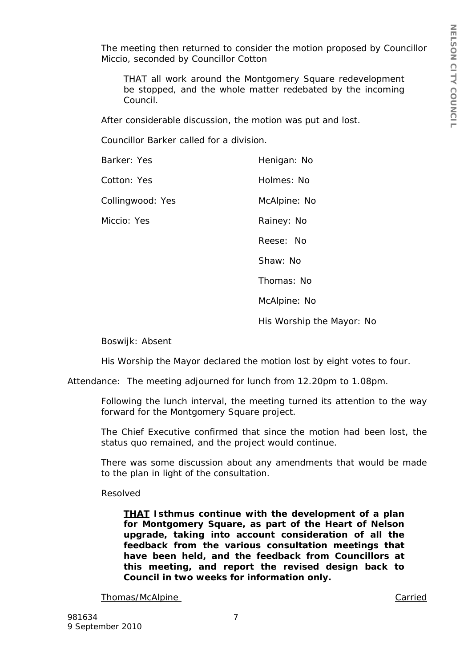The meeting then returned to consider the motion proposed by Councillor Miccio, seconded by Councillor Cotton

*THAT all work around the Montgomery Square redevelopment be stopped, and the whole matter redebated by the incoming Council.* 

After considerable discussion, the motion was put and lost.

Councillor Barker called for a division.

| Barker: Yes      | Henigan: No  |
|------------------|--------------|
| Cotton: Yes      | Holmes: No   |
| Collingwood: Yes | McAlpine: No |
| Miccio: Yes      | Rainey: No   |
|                  | Reese: No    |
|                  | Shaw: No     |
|                  | Thomas: No   |
|                  | McAlpine: No |

His Worship the Mayor: No

Boswijk: Absent

His Worship the Mayor declared the motion lost by eight votes to four.

Attendance: The meeting adjourned for lunch from 12.20pm to 1.08pm.

Following the lunch interval, the meeting turned its attention to the way forward for the Montgomery Square project.

The Chief Executive confirmed that since the motion had been lost, the status quo remained, and the project would continue.

There was some discussion about any amendments that would be made to the plan in light of the consultation.

Resolved

*THAT Isthmus continue with the development of a plan for Montgomery Square, as part of the Heart of Nelson upgrade, taking into account consideration of all the feedback from the various consultation meetings that have been held, and the feedback from Councillors at this meeting, and report the revised design back to Council in two weeks for information only.* 

Thomas/McAlpine **Carried**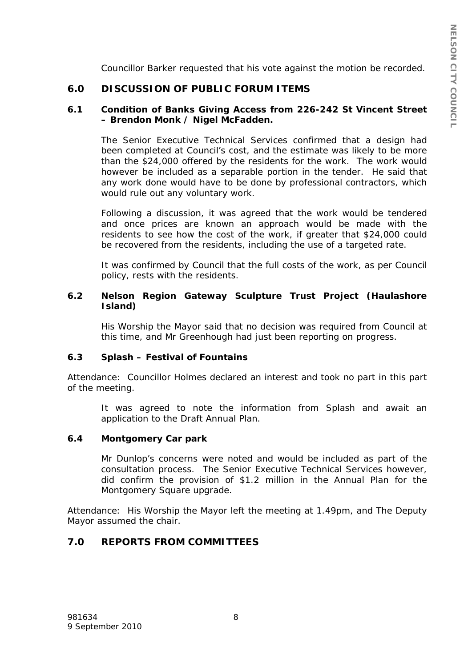Councillor Barker requested that his vote against the motion be recorded.

# **6.0 DISCUSSION OF PUBLIC FORUM ITEMS**

### **6.1 Condition of Banks Giving Access from 226-242 St Vincent Street – Brendon Monk / Nigel McFadden.**

The Senior Executive Technical Services confirmed that a design had been completed at Council's cost, and the estimate was likely to be more than the \$24,000 offered by the residents for the work. The work would however be included as a separable portion in the tender. He said that any work done would have to be done by professional contractors, which would rule out any voluntary work.

Following a discussion, it was agreed that the work would be tendered and once prices are known an approach would be made with the residents to see how the cost of the work, if greater that \$24,000 could be recovered from the residents, including the use of a targeted rate.

It was confirmed by Council that the full costs of the work, as per Council policy, rests with the residents.

## **6.2 Nelson Region Gateway Sculpture Trust Project (Haulashore Island)**

His Worship the Mayor said that no decision was required from Council at this time, and Mr Greenhough had just been reporting on progress.

### **6.3 Splash – Festival of Fountains**

Attendance: Councillor Holmes declared an interest and took no part in this part of the meeting.

It was agreed to note the information from Splash and await an application to the Draft Annual Plan.

### **6.4 Montgomery Car park**

Mr Dunlop's concerns were noted and would be included as part of the consultation process. The Senior Executive Technical Services however, did confirm the provision of \$1.2 million in the Annual Plan for the Montgomery Square upgrade.

Attendance: His Worship the Mayor left the meeting at 1.49pm, and The Deputy Mayor assumed the chair.

# **7.0 REPORTS FROM COMMITTEES**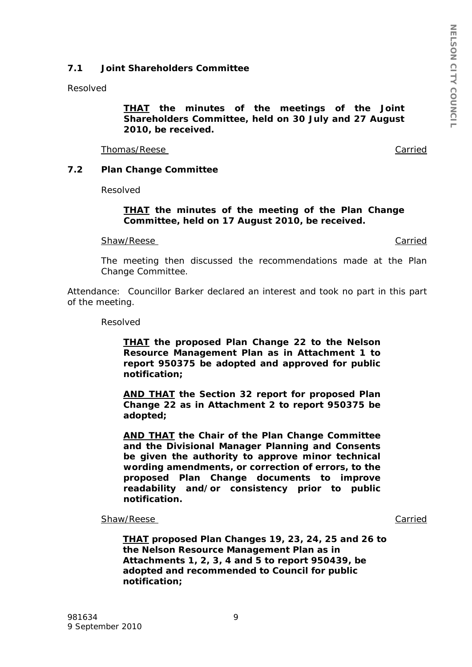## **7.1 Joint Shareholders Committee**

Resolved

*THAT the minutes of the meetings of the Joint Shareholders Committee, held on 30 July and 27 August 2010, be received.* 

Thomas/Reese Carried

## **7.2 Plan Change Committee**

Resolved

### *THAT the minutes of the meeting of the Plan Change Committee, held on 17 August 2010, be received.*

Shaw/Reese Carried Carried Carried Carried Carried Carried Carried Carried Carried Carried Carried Carried Carried Carried Carried Carried Carried Carried Carried Carried Carried Carried Carried Carried Carried Carried Car

The meeting then discussed the recommendations made at the Plan Change Committee.

Attendance: Councillor Barker declared an interest and took no part in this part of the meeting.

Resolved

*THAT the proposed Plan Change 22 to the Nelson Resource Management Plan as in Attachment 1 to report 950375 be adopted and approved for public notification;* 

*AND THAT the Section 32 report for proposed Plan Change 22 as in Attachment 2 to report 950375 be adopted;* 

*AND THAT the Chair of the Plan Change Committee and the Divisional Manager Planning and Consents be given the authority to approve minor technical wording amendments, or correction of errors, to the proposed Plan Change documents to improve readability and/or consistency prior to public notification.*

Shaw/Reese Carried

*THAT proposed Plan Changes 19, 23, 24, 25 and 26 to the Nelson Resource Management Plan as in Attachments 1, 2, 3, 4 and 5 to report 950439, be adopted and recommended to Council for public notification;*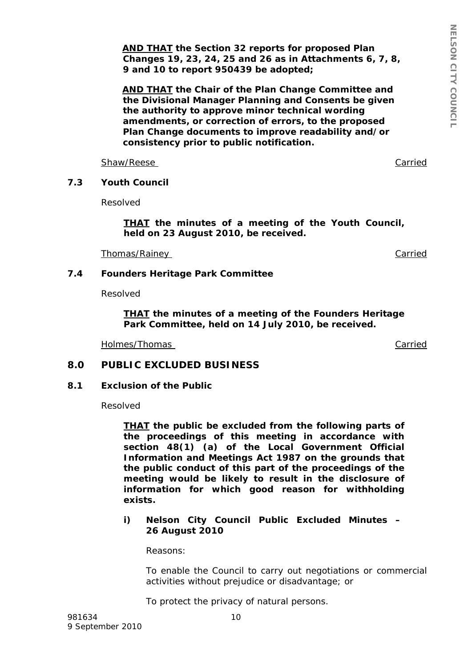*AND THAT the Section 32 reports for proposed Plan Changes 19, 23, 24, 25 and 26 as in Attachments 6, 7, 8, 9 and 10 to report 950439 be adopted;* 

*AND THAT the Chair of the Plan Change Committee and the Divisional Manager Planning and Consents be given the authority to approve minor technical wording amendments, or correction of errors, to the proposed Plan Change documents to improve readability and/or consistency prior to public notification.*

Shaw/Reese Carried Carried Carried Carried Carried Carried Carried Carried Carried Carried Carried Carried Carried Carried Carried Carried Carried Carried Carried Carried Carried Carried Carried Carried Carried Carried Car

## **7.3 Youth Council**

Resolved

*THAT the minutes of a meeting of the Youth Council, held on 23 August 2010, be received.* 

Thomas/Rainey **Carried** Carried Carried Carried Carried Carried Carried Carried Carried Carried Carried Carried Carried Carried Carried Carried Carried Carried Carried Carried Carried Carried Carried Carried Carried Carrie

### **7.4 Founders Heritage Park Committee**

Resolved

*THAT the minutes of a meeting of the Founders Heritage Park Committee, held on 14 July 2010, be received.* 

Holmes/Thomas Carried

## **8.0 PUBLIC EXCLUDED BUSINESS**

### **8.1 Exclusion of the Public**

Resolved

*THAT the public be excluded from the following parts of the proceedings of this meeting in accordance with section 48(1) (a) of the Local Government Official Information and Meetings Act 1987 on the grounds that the public conduct of this part of the proceedings of the meeting would be likely to result in the disclosure of information for which good reason for withholding exists.* 

*i) Nelson City Council Public Excluded Minutes – 26 August 2010* 

*Reasons:* 

*To enable the Council to carry out negotiations or commercial activities without prejudice or disadvantage; or* 

*To protect the privacy of natural persons.*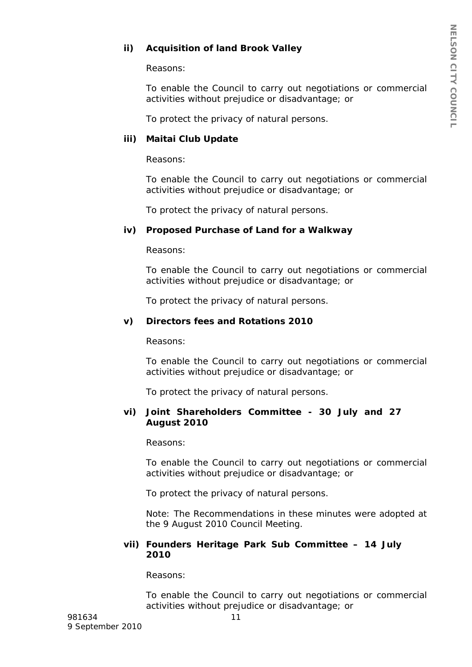# *ii) Acquisition of land Brook Valley*

*Reasons:* 

*To enable the Council to carry out negotiations or commercial activities without prejudice or disadvantage; or* 

*To protect the privacy of natural persons.* 

## *iii) Maitai Club Update*

*Reasons:* 

*To enable the Council to carry out negotiations or commercial activities without prejudice or disadvantage; or* 

*To protect the privacy of natural persons.* 

## *iv) Proposed Purchase of Land for a Walkway*

*Reasons:* 

*To enable the Council to carry out negotiations or commercial activities without prejudice or disadvantage; or* 

*To protect the privacy of natural persons.* 

### *v) Directors fees and Rotations 2010*

*Reasons:* 

*To enable the Council to carry out negotiations or commercial activities without prejudice or disadvantage; or* 

*To protect the privacy of natural persons.* 

### *vi) Joint Shareholders Committee - 30 July and 27 August 2010*

*Reasons:* 

*To enable the Council to carry out negotiations or commercial activities without prejudice or disadvantage; or* 

*To protect the privacy of natural persons.* 

Note: The Recommendations in these minutes were adopted at the 9 August 2010 Council Meeting.

### *vii) Founders Heritage Park Sub Committee – 14 July 2010*

*Reasons:* 

*To enable the Council to carry out negotiations or commercial activities without prejudice or disadvantage; or*